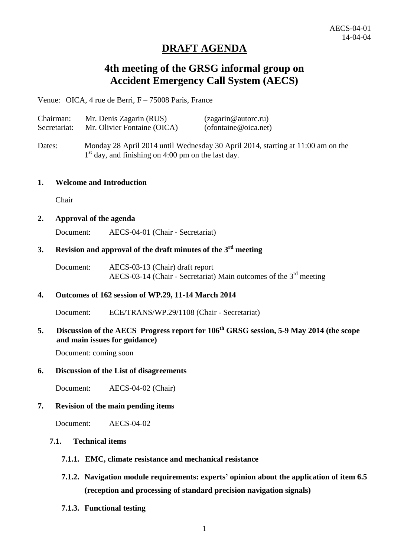# **DRAFT AGENDA**

# **4th meeting of the GRSG informal group on Accident Emergency Call System (AECS)**

Venue: OICA, 4 rue de Berri, F – 75008 Paris, France

| Chairman:    | Mr. Denis Zagarin (RUS)                                                                                                                 | (zagarin@autorc.ru)                          |
|--------------|-----------------------------------------------------------------------------------------------------------------------------------------|----------------------------------------------|
| Secretariat: | Mr. Olivier Fontaine (OICA)                                                                                                             | $(of \omega)$ (of ontaine $\omega$ oica.net) |
| Dates:       | Monday 28 April 2014 until Wednesday 30 April 2014, starting at 11:00 am on the<br>$1st$ day, and finishing on 4:00 pm on the last day. |                                              |

#### **1. Welcome and Introduction**

Chair

#### **2. Approval of the agenda**

Document: AECS-04-01 (Chair - Secretariat)

## **3. Revision and approval of the draft minutes of the 3 rd meeting**

Document: AECS-03-13 (Chair) draft report AECS-03-14 (Chair - Secretariat) Main outcomes of the 3rd meeting

#### **4. Outcomes of 162 session of WP.29, 11-14 March 2014**

Document: ECE/TRANS/WP.29/1108 (Chair - Secretariat)

# **5. Discussion of the AECS Progress report for 106th GRSG session, 5-9 May 2014 (the scope and main issues for guidance)**

Document: coming soon

#### **6. Discussion of the List of disagreements**

Document: AECS-04-02 (Chair)

#### **7. Revision of the main pending items**

Document: AECS-04-02

### **7.1. Technical items**

- **7.1.1. EMC, climate resistance and mechanical resistance**
- **7.1.2. Navigation module requirements: experts' opinion about the application of item 6.5 (reception and processing of standard precision navigation signals)**
- **7.1.3. Functional testing**